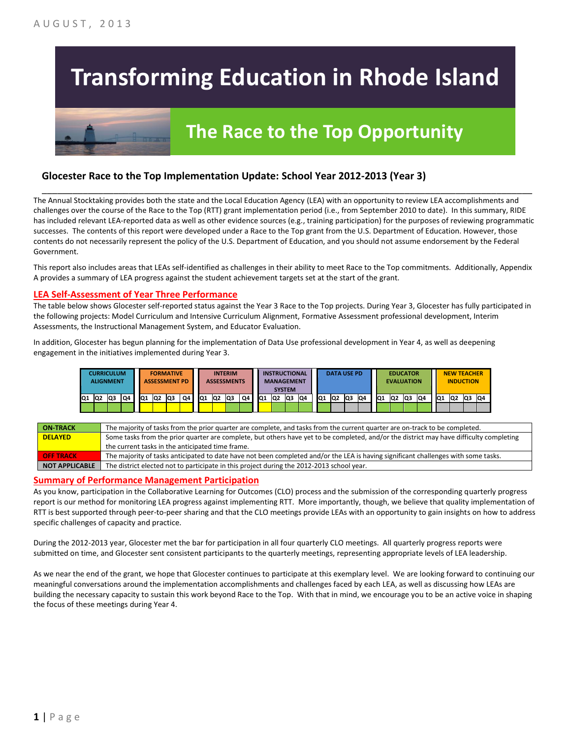# **Transforming Education in Rhode Island**

## **The Race to the Top Opportunity**

### **Glocester Race to the Top Implementation Update: School Year 2012-2013 (Year 3)**

The Annual Stocktaking provides both the state and the Local Education Agency (LEA) with an opportunity to review LEA accomplishments and challenges over the course of the Race to the Top (RTT) grant implementation period (i.e., from September 2010 to date). In this summary, RIDE has included relevant LEA-reported data as well as other evidence sources (e.g., training participation) for the purposes of reviewing programmatic successes. The contents of this report were developed under a Race to the Top grant from the U.S. Department of Education. However, those contents do not necessarily represent the policy of the U.S. Department of Education, and you should not assume endorsement by the Federal Government.

\_\_\_\_\_\_\_\_\_\_\_\_\_\_\_\_\_\_\_\_\_\_\_\_\_\_\_\_\_\_\_\_\_\_\_\_\_\_\_\_\_\_\_\_\_\_\_\_\_\_\_\_\_\_\_\_\_\_\_\_\_\_\_\_\_\_\_\_\_\_\_\_\_\_\_\_\_\_\_\_\_\_\_\_\_\_\_\_\_\_\_\_\_\_\_\_

This report also includes areas that LEAs self-identified as challenges in their ability to meet Race to the Top commitments. Additionally, Appendix A provides a summary of LEA progress against the student achievement targets set at the start of the grant.

#### **LEA Self-Assessment of Year Three Performance**

The table below shows Glocester self-reported status against the Year 3 Race to the Top projects. During Year 3, Glocester has fully participated in the following projects: Model Curriculum and Intensive Curriculum Alignment, Formative Assessment professional development, Interim Assessments, the Instructional Management System, and Educator Evaluation.

In addition, Glocester has begun planning for the implementation of Data Use professional development in Year 4, as well as deepening engagement in the initiatives implemented during Year 3.



| <b>ON TRACK</b>  | The majority of tasks from the prior quarter are complete, and tasks from the current quarter are on-track to be completed.             |
|------------------|-----------------------------------------------------------------------------------------------------------------------------------------|
| <b>DELAYED</b>   | Some tasks from the prior quarter are complete, but others have yet to be completed, and/or the district may have difficulty completing |
|                  | the current tasks in the anticipated time frame.                                                                                        |
| <b>OFF TRACK</b> | The majority of tasks anticipated to date have not been completed and/or the LEA is having significant challenges with some tasks.      |
| NOT APPLICABLE   | The district elected not to participate in this project during the 2012-2013 school year.                                               |

#### **Summary of Performance Management Participation**

As you know, participation in the Collaborative Learning for Outcomes (CLO) process and the submission of the corresponding quarterly progress report is our method for monitoring LEA progress against implementing RTT. More importantly, though, we believe that quality implementation of RTT is best supported through peer-to-peer sharing and that the CLO meetings provide LEAs with an opportunity to gain insights on how to address specific challenges of capacity and practice.

During the 2012-2013 year, Glocester met the bar for participation in all four quarterly CLO meetings. All quarterly progress reports were submitted on time, and Glocester sent consistent participants to the quarterly meetings, representing appropriate levels of LEA leadership.

As we near the end of the grant, we hope that Glocester continues to participate at this exemplary level. We are looking forward to continuing our meaningful conversations around the implementation accomplishments and challenges faced by each LEA, as well as discussing how LEAs are building the necessary capacity to sustain this work beyond Race to the Top. With that in mind, we encourage you to be an active voice in shaping the focus of these meetings during Year 4.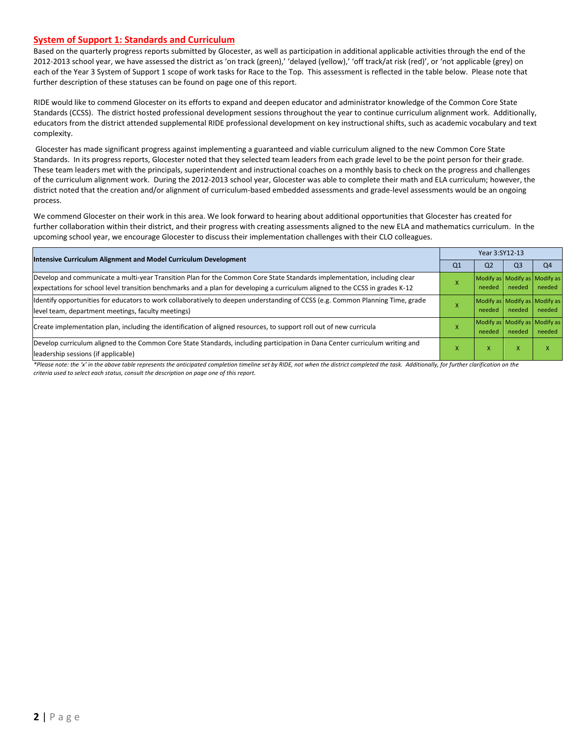#### **System of Support 1: Standards and Curriculum**

Based on the quarterly progress reports submitted by Glocester, as well as participation in additional applicable activities through the end of the 2012-2013 school year, we have assessed the district as 'on track (green),' 'delayed (yellow),' 'off track/at risk (red)', or 'not applicable (grey) on each of the Year 3 System of Support 1 scope of work tasks for Race to the Top. This assessment is reflected in the table below. Please note that further description of these statuses can be found on page one of this report.

RIDE would like to commend Glocester on its efforts to expand and deepen educator and administrator knowledge of the Common Core State Standards (CCSS). The district hosted professional development sessions throughout the year to continue curriculum alignment work. Additionally, educators from the district attended supplemental RIDE professional development on key instructional shifts, such as academic vocabulary and text complexity.

Glocester has made significant progress against implementing a guaranteed and viable curriculum aligned to the new Common Core State Standards. In its progress reports, Glocester noted that they selected team leaders from each grade level to be the point person for their grade. These team leaders met with the principals, superintendent and instructional coaches on a monthly basis to check on the progress and challenges of the curriculum alignment work. During the 2012-2013 school year, Glocester was able to complete their math and ELA curriculum; however, the district noted that the creation and/or alignment of curriculum-based embedded assessments and grade-level assessments would be an ongoing process.

We commend Glocester on their work in this area. We look forward to hearing about additional opportunities that Glocester has created for further collaboration within their district, and their progress with creating assessments aligned to the new ELA and mathematics curriculum. In the upcoming school year, we encourage Glocester to discuss their implementation challenges with their CLO colleagues.

| Intensive Curriculum Alignment and Model Curriculum Development                                                                                                                                                                                           |        | Year 3:SY12-13 |                                         |                                         |  |
|-----------------------------------------------------------------------------------------------------------------------------------------------------------------------------------------------------------------------------------------------------------|--------|----------------|-----------------------------------------|-----------------------------------------|--|
|                                                                                                                                                                                                                                                           |        | Q <sub>2</sub> | Q <sub>3</sub>                          | Q <sub>4</sub>                          |  |
| Develop and communicate a multi-year Transition Plan for the Common Core State Standards implementation, including clear<br>expectations for school level transition benchmarks and a plan for developing a curriculum aligned to the CCSS in grades K-12 |        | needed         | Modify as Modify as Modify as<br>needed | needed                                  |  |
| Identify opportunities for educators to work collaboratively to deepen understanding of CCSS (e.g. Common Planning Time, grade<br>level team, department meetings, faculty meetings)                                                                      |        | needed         | needed                                  | Modify as Modify as Modify as<br>needed |  |
| Create implementation plan, including the identification of aligned resources, to support roll out of new curricula                                                                                                                                       | $\sim$ | needed         | needed                                  | Modify as Modify as Modify as<br>needed |  |
| Develop curriculum aligned to the Common Core State Standards, including participation in Dana Center curriculum writing and<br>leadership sessions (if applicable)                                                                                       |        | X              | $\boldsymbol{\mathsf{x}}$               |                                         |  |

*\*Please note: the 'x' in the above table represents the anticipated completion timeline set by RIDE, not when the district completed the task. Additionally, for further clarification on the criteria used to select each status, consult the description on page one of this report.*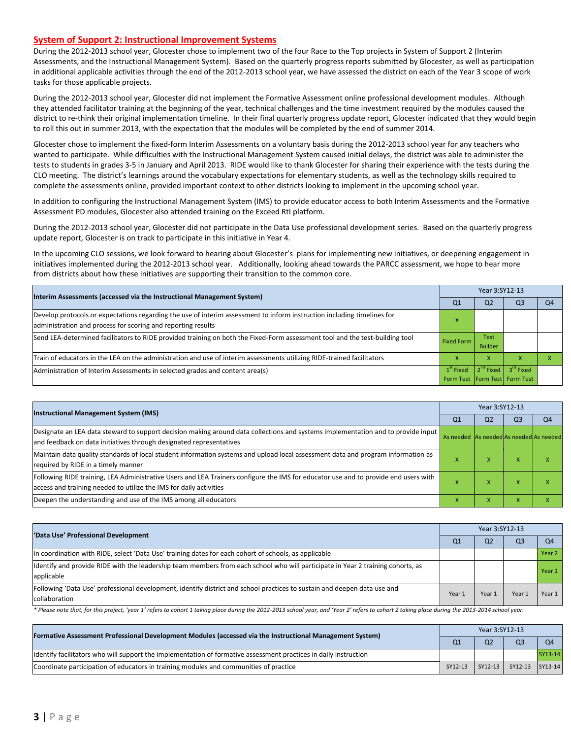#### **System of Support 2: Instructional Improvement Systems**

During the 2012-2013 school year, Glocester chose to implement two of the four Race to the Top projects in System of Support 2 (Interim Assessments, and the Instructional Management System). Based on the quarterly progress reports submitted by Glocester, as well as participation in additional applicable activities through the end of the 2012-2013 school year, we have assessed the district on each of the Year 3 scope of work tasks for those applicable projects.

During the 2012-2013 school year, Glocester did not implement the Formative Assessment online professional development modules. Although they attended facilitator training at the beginning of the year, technical challenges and the time investment required by the modules caused the district to re-think their original implementation timeline. In their final quarterly progress update report, Glocester indicated that they would begin to roll this out in summer 2013, with the expectation that the modules will be completed by the end of summer 2014.

Glocester chose to implement the fixed-form Interim Assessments on a voluntary basis during the 2012-2013 school year for any teachers who wanted to participate. While difficulties with the Instructional Management System caused initial delays, the district was able to administer the tests to students in grades 3-5 in January and April 2013. RIDE would like to thank Glocester for sharing their experience with the tests during the CLO meeting. The district's learnings around the vocabulary expectations for elementary students, as well as the technology skills required to complete the assessments online, provided important context to other districts looking to implement in the upcoming school year.

In addition to configuring the Instructional Management System (IMS) to provide educator access to both Interim Assessments and the Formative Assessment PD modules, Glocester also attended training on the Exceed RtI platform.

During the 2012-2013 school year, Glocester did not participate in the Data Use professional development series. Based on the quarterly progress update report, Glocester is on track to participate in this initiative in Year 4.

In the upcoming CLO sessions, we look forward to hearing about Glocester's plans for implementing new initiatives, or deepening engagement in initiatives implemented during the 2012-2013 school year. Additionally, looking ahead towards the PARCC assessment, we hope to hear more from districts about how these initiatives are supporting their transition to the common core.

| Interim Assessments (accessed via the Instructional Management System)                                                                                                                  |                   | Year 3:SY12-13                |                                   |    |  |
|-----------------------------------------------------------------------------------------------------------------------------------------------------------------------------------------|-------------------|-------------------------------|-----------------------------------|----|--|
|                                                                                                                                                                                         | O1                | Q <sub>2</sub>                | O3                                | Q4 |  |
| Develop protocols or expectations regarding the use of interim assessment to inform instruction including timelines for<br>administration and process for scoring and reporting results |                   |                               |                                   |    |  |
| Send LEA-determined facilitators to RIDE provided training on both the Fixed-Form assessment tool and the test-building tool                                                            | <b>Fixed Form</b> | <b>Test</b><br><b>Builder</b> |                                   |    |  |
| Train of educators in the LEA on the administration and use of interim assessments utilizing RIDE-trained facilitators                                                                  |                   | x                             |                                   |    |  |
| Administration of Interim Assessments in selected grades and content area(s)                                                                                                            | $1st$ Fixed       | 2 <sup>nd</sup> Fixed         | 3 <sup>rd</sup> Fixed             |    |  |
|                                                                                                                                                                                         |                   |                               | Form Test   Form Test   Form Test |    |  |

| <b>Instructional Management System (IMS)</b>                                                                                        |                                         | Year 3:SY12-13 |                |                |  |
|-------------------------------------------------------------------------------------------------------------------------------------|-----------------------------------------|----------------|----------------|----------------|--|
|                                                                                                                                     |                                         | Q <sub>2</sub> | Q <sub>3</sub> | Q <sub>4</sub> |  |
| Designate an LEA data steward to support decision making around data collections and systems implementation and to provide input    | As needed As needed As needed As needed |                |                |                |  |
| and feedback on data initiatives through designated representatives                                                                 |                                         |                |                |                |  |
| Maintain data quality standards of local student information systems and upload local assessment data and program information as    |                                         | ⋏              | ж              |                |  |
| required by RIDE in a timely manner                                                                                                 |                                         |                |                |                |  |
| Following RIDE training, LEA Administrative Users and LEA Trainers configure the IMS for educator use and to provide end users with |                                         | ×              | $\lambda$      |                |  |
| access and training needed to utilize the IMS for daily activities                                                                  |                                         |                |                |                |  |
| Deepen the understanding and use of the IMS among all educators                                                                     |                                         | ж              | ж              |                |  |

| 'Data Use' Professional Development                                                                                             |                | Year 3:SY12-13 |                |                |  |
|---------------------------------------------------------------------------------------------------------------------------------|----------------|----------------|----------------|----------------|--|
|                                                                                                                                 | Q <sub>1</sub> | Q <sub>2</sub> | Q <sub>3</sub> | Q <sub>4</sub> |  |
| In coordination with RIDE, select 'Data Use' training dates for each cohort of schools, as applicable                           |                |                |                | Year 2         |  |
| Identify and provide RIDE with the leadership team members from each school who will participate in Year 2 training cohorts, as |                |                |                | Year 2         |  |
| applicable                                                                                                                      |                |                |                |                |  |
| [Following 'Data Use' professional development, identify district and school practices to sustain and deepen data use and       | Year 1         | Year 1         | Year 1         | Year 1         |  |
| collaboration                                                                                                                   |                |                |                |                |  |

\* Please note that, for this project, 'year 1' refers to cohort 1 taking place during the 2012-2013 school year, and 'Year 2' refers to cohort 2 taking place during the 2013-2014 school year.

| [Formative Assessment Professional Development Modules (accessed via the Instructional Management System)        |         | Year 3:SY12-13 |                 |                |  |
|------------------------------------------------------------------------------------------------------------------|---------|----------------|-----------------|----------------|--|
|                                                                                                                  |         | O <sub>2</sub> | O <sub>3</sub>  | O <sub>4</sub> |  |
| ldentify facilitators who will support the implementation of formative assessment practices in daily instruction |         |                |                 | SY13-14        |  |
| Coordinate participation of educators in training modules and communities of practice                            | SY12-13 | SY12-13        | SY12-13 SY13-14 |                |  |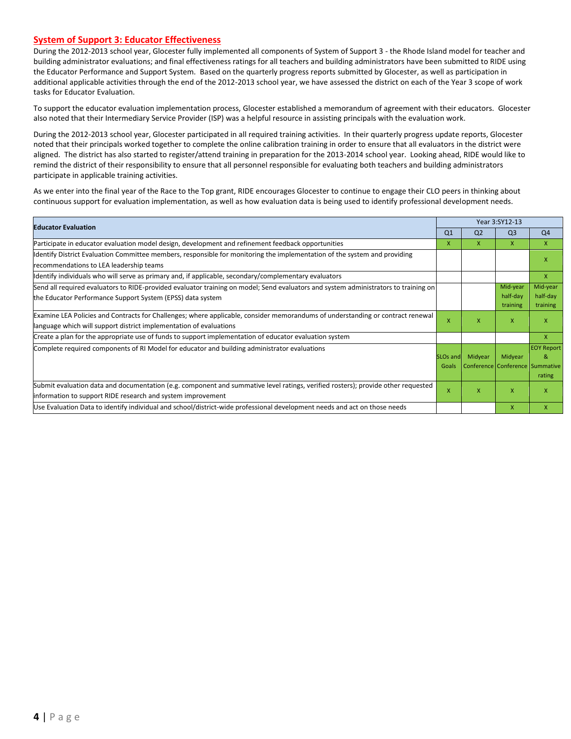#### **System of Support 3: Educator Effectiveness**

During the 2012-2013 school year, Glocester fully implemented all components of System of Support 3 - the Rhode Island model for teacher and building administrator evaluations; and final effectiveness ratings for all teachers and building administrators have been submitted to RIDE using the Educator Performance and Support System. Based on the quarterly progress reports submitted by Glocester, as well as participation in additional applicable activities through the end of the 2012-2013 school year, we have assessed the district on each of the Year 3 scope of work tasks for Educator Evaluation.

To support the educator evaluation implementation process, Glocester established a memorandum of agreement with their educators. Glocester also noted that their Intermediary Service Provider (ISP) was a helpful resource in assisting principals with the evaluation work.

During the 2012-2013 school year, Glocester participated in all required training activities. In their quarterly progress update reports, Glocester noted that their principals worked together to complete the online calibration training in order to ensure that all evaluators in the district were aligned. The district has also started to register/attend training in preparation for the 2013-2014 school year. Looking ahead, RIDE would like to remind the district of their responsibility to ensure that all personnel responsible for evaluating both teachers and building administrators participate in applicable training activities.

As we enter into the final year of the Race to the Top grant, RIDE encourages Glocester to continue to engage their CLO peers in thinking about continuous support for evaluation implementation, as well as how evaluation data is being used to identify professional development needs.

| <b>Educator Evaluation</b>                                                                                                                                                                           |                          | Year 3:SY12-13 |                                            |                                  |
|------------------------------------------------------------------------------------------------------------------------------------------------------------------------------------------------------|--------------------------|----------------|--------------------------------------------|----------------------------------|
|                                                                                                                                                                                                      |                          | Q <sub>2</sub> | Q <sub>3</sub>                             | Q <sub>4</sub>                   |
| Participate in educator evaluation model design, development and refinement feedback opportunities                                                                                                   | X.                       | X              | X                                          | $\mathsf{x}$                     |
| Identify District Evaluation Committee members, responsible for monitoring the implementation of the system and providing<br>recommendations to LEA leadership teams                                 |                          |                |                                            | X                                |
| ldentify individuals who will serve as primary and, if applicable, secondary/complementary evaluators                                                                                                |                          |                |                                            | X                                |
| Send all required evaluators to RIDE-provided evaluator training on model; Send evaluators and system administrators to training on<br>the Educator Performance Support System (EPSS) data system    |                          |                | Mid-year<br>half-day<br>training           | Mid-year<br>half-day<br>training |
| Examine LEA Policies and Contracts for Challenges; where applicable, consider memorandums of understanding or contract renewal<br>language which will support district implementation of evaluations | X                        | x              | $\mathsf{x}$                               | X                                |
| Create a plan for the appropriate use of funds to support implementation of educator evaluation system                                                                                               |                          |                |                                            | X                                |
| Complete required components of RI Model for educator and building administrator evaluations                                                                                                         | <b>SLOs and</b><br>Goals | Midyear        | Midyear<br>Conference Conference Summative | <b>EOY Report</b><br>&<br>rating |
| Submit evaluation data and documentation (e.g. component and summative level ratings, verified rosters); provide other requested<br>information to support RIDE research and system improvement      | X                        | X              | X                                          | x                                |
| Use Evaluation Data to identify individual and school/district-wide professional development needs and act on those needs                                                                            |                          |                | X                                          | x                                |